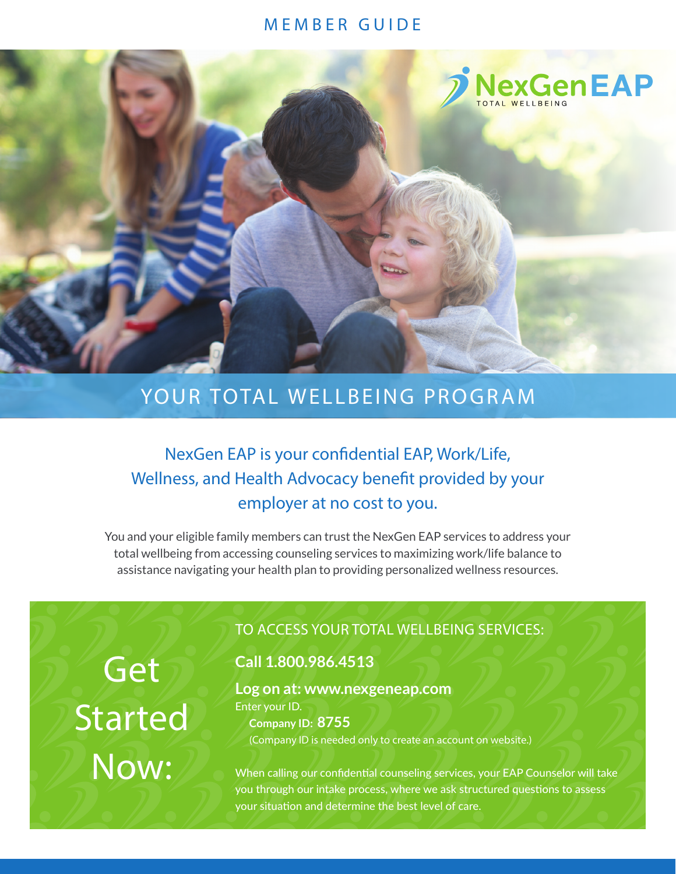### MEMBER GUIDE



# YOUR TOTAL WELLBEING PROGRAM

## NexGen EAP is your confidential EAP, Work/Life, Wellness, and Health Advocacy benefit provided by your employer at no cost to you.

You and your eligible family members can trust the NexGen EAP services to address your total wellbeing from accessing counseling services to maximizing work/life balance to assistance navigating your health plan to providing personalized wellness resources.

Get Started Now:

## TO ACCESS YOUR TOTAL WELLBEING SERVICES:

## **Call 1.800.986.4513**

**Log on at: www.nexgeneap.com** Enter your ID. **Company ID: 8755** (Company ID is needed only to create an account on website.)

When calling our confidential counseling services, your EAP Counselor will take you through our intake process, where we ask structured questions to assess your situation and determine the best level of care.